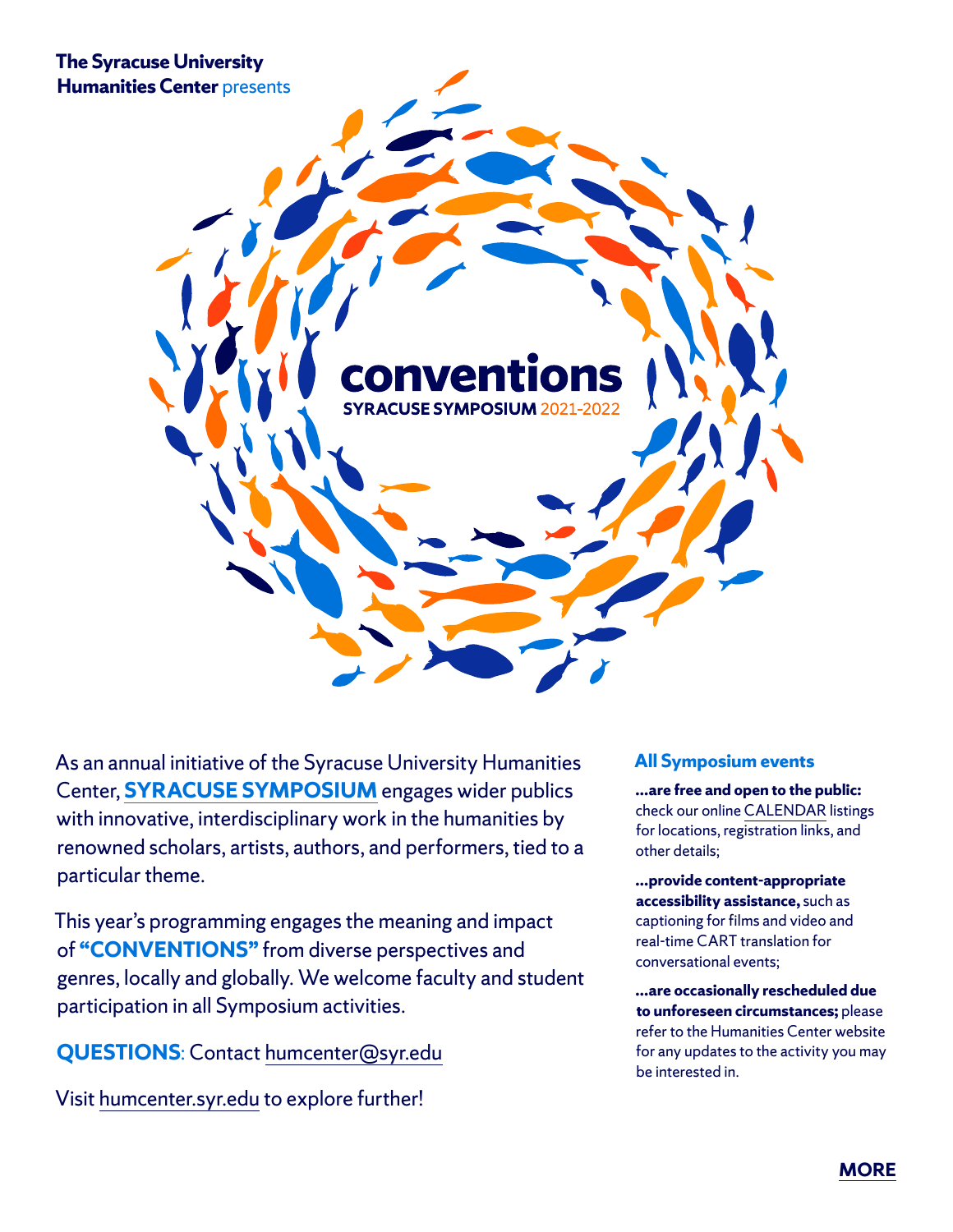**The Syracuse University Humanities Center** presents



As an annual initiative of the Syracuse University Humanities Center, **[SYRACUSE SYMPOSIUM](http://humcenter.syr.edu/syracuse-symposium.html)** engages wider publics with innovative, interdisciplinary work in the humanities by renowned scholars, artists, authors, and performers, tied to a particular theme.

This year's programming engages the meaning and impact of **"CONVENTIONS"** from diverse perspectives and genres, locally and globally. We welcome faculty and student participation in all Symposium activities.

**QUESTIONS**: Contact [humcenter@syr.edu](mailto:humcenter%40syr.edu?subject=Re%20Syracuse%20Symposium)

Visit [humcenter.syr.edu](http://humcenter.syr.edu) to explore further!

## **All Symposium events**

**…are free and open to the public:** check our online [CALENDAR](https://humcenter.syr.edu/calendar/) listings for locations, registration links, and other details;

**…provide content-appropriate accessibility assistance,** such as captioning for films and video and real-time CART translation for conversational events;

**…are occasionally rescheduled due to unforeseen circumstances;** please refer to the Humanities Center website for any updates to the activity you may be interested in.